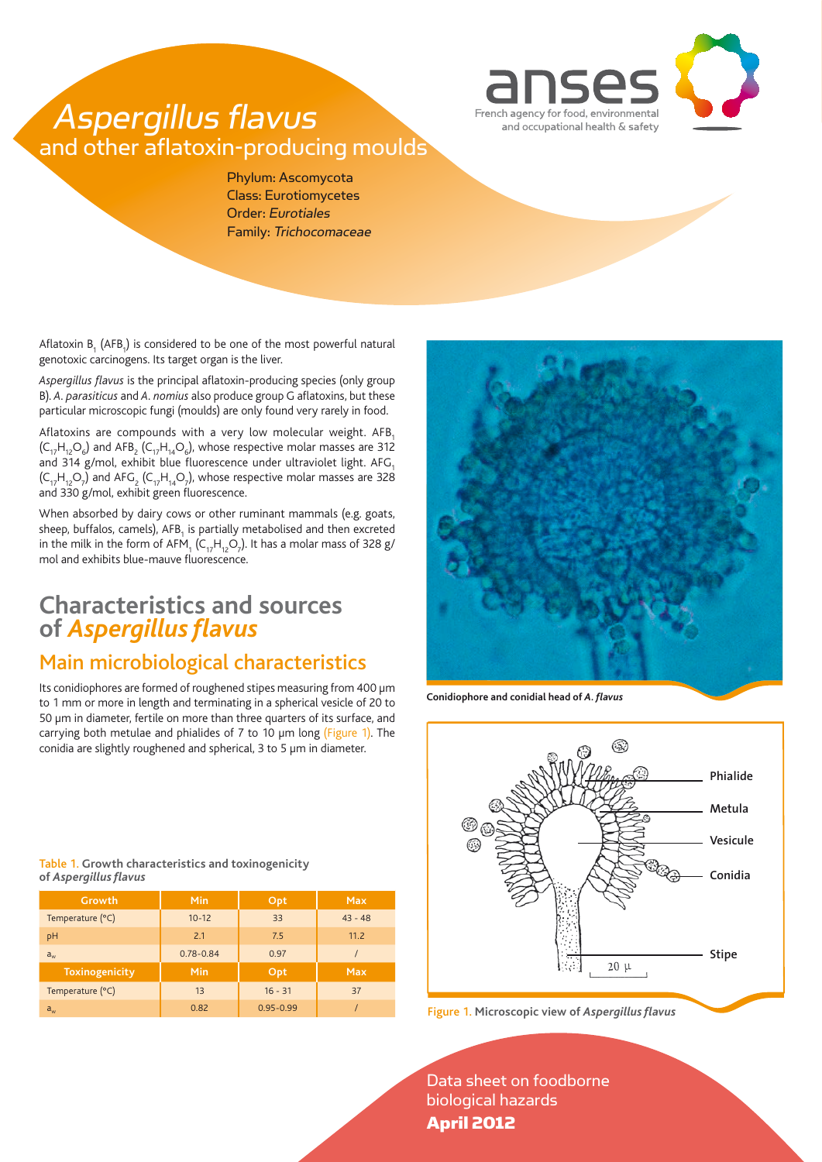

# Aspergillus flavus and other aflatoxin-producing moulds

Phylum: Ascomycota Class: Eurotiomycetes Order: Eurotiales Family: Trichocomaceae

Aflatoxin  $B_1$  (AFB<sub>1</sub>) is considered to be one of the most powerful natural genotoxic carcinogens. Its target organ is the liver.

*Aspergillus flavus* is the principal aflatoxin-producing species (only group B). *A. parasiticus* and *A. nomius* also produce group G aflatoxins, but these particular microscopic fungi (moulds) are only found very rarely in food.

Aflatoxins are compounds with a very low molecular weight.  $AFB<sub>1</sub>$  $(\mathsf{C}_{17}\mathsf{H}_{12}\mathsf{O}_6)$  and AFB<sub>2</sub> ( $\mathsf{C}_{17}\mathsf{H}_{14}\mathsf{O}_6$ ), whose respective molar masses are 312 and 314 g/mol, exhibit blue fluorescence under ultraviolet light. AFG,  $(\mathsf{C}_{17} \mathsf{H}_{12} \mathsf{O}_7)$  and AFG<sub>2</sub> ( $\mathsf{C}_{17} \mathsf{H}_{14} \mathsf{O}_7$ ), whose respective molar masses are 328 and 330 g/mol, exhibit green fluorescence.

When absorbed by dairy cows or other ruminant mammals (e.g. goats, sheep, buffalos, camels), AFB $_{\rm_1}$  is partially metabolised and then excreted in the milk in the form of AFM<sub>1</sub> (C<sub>17</sub>H<sub>12</sub>O<sub>7</sub>). It has a molar mass of 328 g/ mol and exhibits blue-mauve fluorescence.

## **Characteristics and sources of** *Aspergillus flavus*

### Main microbiological characteristics

Its conidiophores are formed of roughened stipes measuring from 400 µm to 1 mm or more in length and terminating in a spherical vesicle of 20 to 50 µm in diameter, fertile on more than three quarters of its surface, and carrying both metulae and phialides of 7 to 10 µm long (Figure 1). The conidia are slightly roughened and spherical, 3 to 5 µm in diameter.

Table 1. **Growth characteristics and toxinogenicity of** *Aspergillus flavus*

| Growth           | Min           | Opt           | <b>Max</b> |
|------------------|---------------|---------------|------------|
| Temperature (°C) | $10 - 12$     | 33            | $43 - 48$  |
| pH               | 2.1           | 7.5           | 11.2       |
| $a_{w}$          | $0.78 - 0.84$ | 0.97          |            |
| Toxinogenicity   | Min           | Opt           | <b>Max</b> |
| Temperature (°C) | 13            | $16 - 31$     | 37         |
| $a_{w}$          | 0.82          | $0.95 - 0.99$ |            |



**Conidiophore and conidial head of** *A. flavus*



aw 0.82 0.95-0.99 / Figure 1. **Microscopic view of** *Aspergillus flavus*

Data sheet on foodborne biological hazards April 2012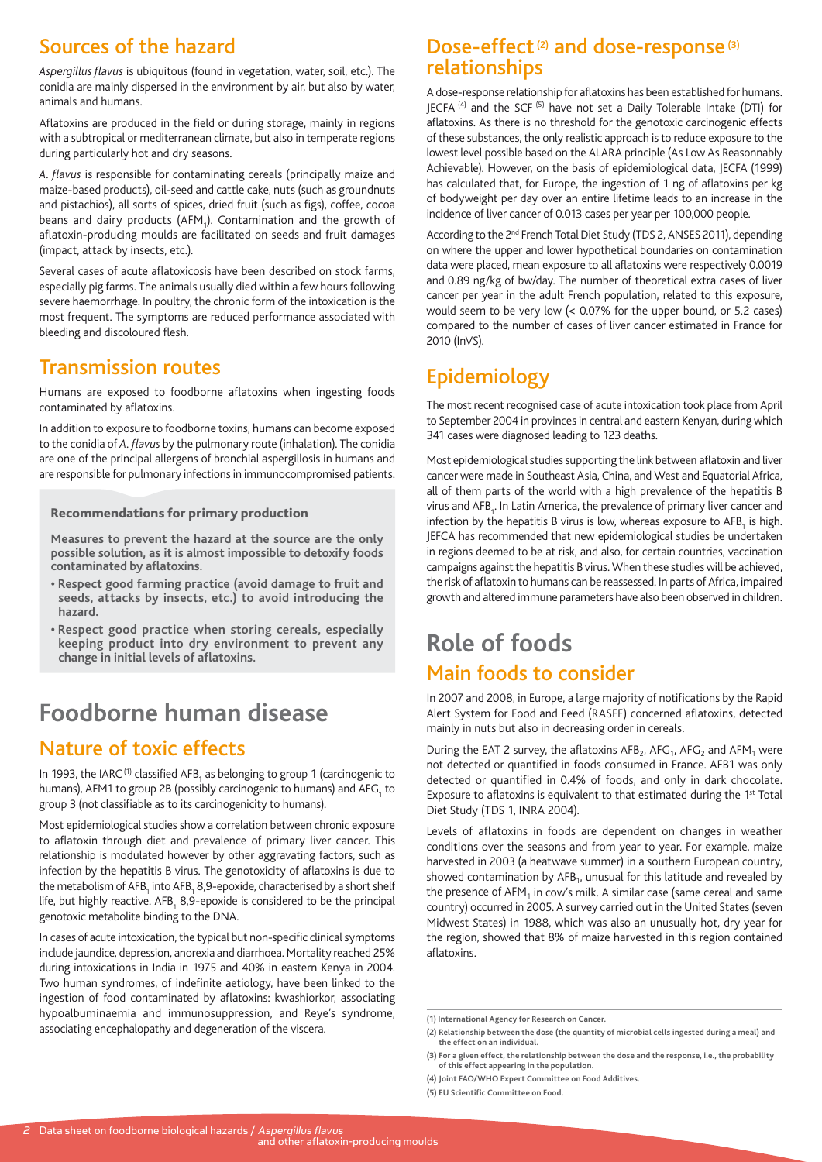### Sources of the hazard

*Aspergillus flavus* is ubiquitous (found in vegetation, water, soil, etc.). The conidia are mainly dispersed in the environment by air, but also by water, animals and humans.

Aflatoxins are produced in the field or during storage, mainly in regions with a subtropical or mediterranean climate, but also in temperate regions during particularly hot and dry seasons.

*A. flavus* is responsible for contaminating cereals (principally maize and maize-based products), oil-seed and cattle cake, nuts (such as groundnuts and pistachios), all sorts of spices, dried fruit (such as figs), coffee, cocoa beans and dairy products (AFM $_{_{\rm 1}}$ ). Contamination and the growth of aflatoxin-producing moulds are facilitated on seeds and fruit damages (impact, attack by insects, etc.).

Several cases of acute aflatoxicosis have been described on stock farms, especially pig farms. The animals usually died within a few hours following severe haemorrhage. In poultry, the chronic form of the intoxication is the most frequent. The symptoms are reduced performance associated with bleeding and discoloured flesh.

### Transmission routes

Humans are exposed to foodborne aflatoxins when ingesting foods contaminated by aflatoxins.

In addition to exposure to foodborne toxins, humans can become exposed to the conidia of *A. flavus* by the pulmonary route (inhalation). The conidia are one of the principal allergens of bronchial aspergillosis in humans and are responsible for pulmonary infections in immunocompromised patients.

#### Recommendations for primary production

**Measures to prevent the hazard at the source are the only possible solution, as it is almost impossible to detoxify foods contaminated by aflatoxins.**

- **Respect good farming practice (avoid damage to fruit and seeds, attacks by insects, etc.) to avoid introducing the hazard.**
- **Respect good practice when storing cereals, especially keeping product into dry environment to prevent any change in initial levels of aflatoxins.**

# **Foodborne human disease**

## Nature of toxic effects

In 1993, the IARC <sup>(1)</sup> classified AFB<sub>1</sub> as belonging to group 1 (carcinogenic to humans), AFM1 to group 2B (possibly carcinogenic to humans) and AFG<sub>1</sub> to group 3 (not classifiable as to its carcinogenicity to humans).

Most epidemiological studies show a correlation between chronic exposure to aflatoxin through diet and prevalence of primary liver cancer. This relationship is modulated however by other aggravating factors, such as infection by the hepatitis B virus. The genotoxicity of aflatoxins is due to the metabolism of AFB<sub>1</sub> into AFB<sub>1</sub> 8,9-epoxide, characterised by a short shelf life, but highly reactive. AFB<sub>1</sub> 8,9-epoxide is considered to be the principal genotoxic metabolite binding to the DNA.

In cases of acute intoxication, the typical but non-specific clinical symptoms include jaundice, depression, anorexia and diarrhoea. Mortality reached 25% during intoxications in India in 1975 and 40% in eastern Kenya in 2004. Two human syndromes, of indefinite aetiology, have been linked to the ingestion of food contaminated by aflatoxins: kwashiorkor, associating hypoalbuminaemia and immunosuppression, and Reye's syndrome, nypoalburninaernia and immunosuppression, and keye's syndrome, and the mational Agency for Research on Cancer.<br>**Associating encephalopathy and degeneration of the viscera.** (2) Relationship between the dose (the quantity

### Dose-effect<sup>(2)</sup> and dose-response<sup>(3)</sup> relationships

A dose-response relationship for aflatoxins has been established for humans. JECFA<sup>(4)</sup> and the SCF<sup>(5)</sup> have not set a Daily Tolerable Intake (DTI) for aflatoxins. As there is no threshold for the genotoxic carcinogenic effects of these substances, the only realistic approach is to reduce exposure to the lowest level possible based on the ALARA principle (As Low As Reasonnably Achievable). However, on the basis of epidemiological data, JECFA (1999) has calculated that, for Europe, the ingestion of 1 ng of aflatoxins per kg of bodyweight per day over an entire lifetime leads to an increase in the incidence of liver cancer of 0.013 cases per year per 100,000 people.

According to the 2<sup>nd</sup> French Total Diet Study (TDS 2, ANSES 2011), depending on where the upper and lower hypothetical boundaries on contamination data were placed, mean exposure to all aflatoxins were respectively 0.0019 and 0.89 ng/kg of bw/day. The number of theoretical extra cases of liver cancer per year in the adult French population, related to this exposure, would seem to be very low (< 0.07% for the upper bound, or 5.2 cases) compared to the number of cases of liver cancer estimated in France for 2010 (InVS).

## Epidemiology

The most recent recognised case of acute intoxication took place from April to September 2004 in provinces in central and eastern Kenyan, during which 341 cases were diagnosed leading to 123 deaths.

Most epidemiological studies supporting the link between aflatoxin and liver cancer were made in Southeast Asia, China, and West and Equatorial Africa, all of them parts of the world with a high prevalence of the hepatitis B virus and  ${\sf AFB}_{\sf 1}$ . In Latin America, the prevalence of primary liver cancer and infection by the hepatitis B virus is low, whereas exposure to  $\mathsf{AFB}_1$  is high. JEFCA has recommended that new epidemiological studies be undertaken in regions deemed to be at risk, and also, for certain countries, vaccination campaigns against the hepatitis B virus. When these studies will be achieved, the risk of aflatoxin to humans can be reassessed. In parts of Africa, impaired growth and altered immune parameters have also been observed in children.

## **Role of foods** Main foods to consider

In 2007 and 2008, in Europe, a large majority of notifications by the Rapid Alert System for Food and Feed (RASFF) concerned aflatoxins, detected mainly in nuts but also in decreasing order in cereals.

During the EAT 2 survey, the aflatoxins  $AFB<sub>2</sub>$ , AFG<sub>1</sub>, AFG<sub>2</sub> and AFM<sub>1</sub> were not detected or quantified in foods consumed in France. AFB1 was only detected or quantified in 0.4% of foods, and only in dark chocolate. Exposure to aflatoxins is equivalent to that estimated during the 1st Total Diet Study (TDS 1, INRA 2004).

Levels of aflatoxins in foods are dependent on changes in weather conditions over the seasons and from year to year. For example, maize harvested in 2003 (a heatwave summer) in a southern European country, showed contamination by  $AFB<sub>1</sub>$ , unusual for this latitude and revealed by the presence of  $AFM<sub>1</sub>$  in cow's milk. A similar case (same cereal and same country) occurred in 2005. A survey carried out in the United States (seven Midwest States) in 1988, which was also an unusually hot, dry year for the region, showed that 8% of maize harvested in this region contained aflatoxins.

**<sup>(2)</sup> Relationship between the dose (the quantity of microbial cells ingested during a meal) and the effect on an individual.**

**<sup>(3)</sup> For a given effect, the relationship between the dose and the response, i.e., the probability of this effect appearing in the population.**

**<sup>(4)</sup> Joint FAO/WHO Expert Committee on Food Additives.**

**<sup>(5)</sup> EU Scientific Committee on Food.**